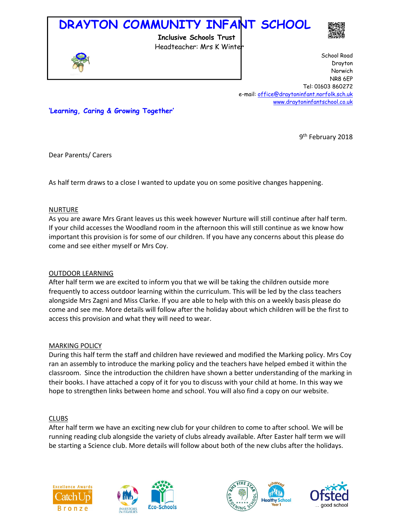# **DRAYTON COMMUNITY INFANT SCHOOL**

 **Inclusive Schools Trust**



Headteacher: Mrs K Winter School Road Drayton Norwich NR8 6EP Tel: 01603 860272 e-mail: office@draytoninfant.norfolk.sch.uk www.draytoninfantschool.co.uk

**'Learning, Caring & Growing Together'**

9<sup>th</sup> February 2018

Dear Parents/ Carers

As half term draws to a close I wanted to update you on some positive changes happening.

#### NURTURE

As you are aware Mrs Grant leaves us this week however Nurture will still continue after half term. If your child accesses the Woodland room in the afternoon this will still continue as we know how important this provision is for some of our children. If you have any concerns about this please do come and see either myself or Mrs Coy.

## OUTDOOR LEARNING

After half term we are excited to inform you that we will be taking the children outside more frequently to access outdoor learning within the curriculum. This will be led by the class teachers alongside Mrs Zagni and Miss Clarke. If you are able to help with this on a weekly basis please do come and see me. More details will follow after the holiday about which children will be the first to access this provision and what they will need to wear.

## MARKING POLICY

During this half term the staff and children have reviewed and modified the Marking policy. Mrs Coy ran an assembly to introduce the marking policy and the teachers have helped embed it within the classroom. Since the introduction the children have shown a better understanding of the marking in their books. I have attached a copy of it for you to discuss with your child at home. In this way we hope to strengthen links between home and school. You will also find a copy on our website.

## CLUBS

After half term we have an exciting new club for your children to come to after school. We will be running reading club alongside the variety of clubs already available. After Easter half term we will be starting a Science club. More details will follow about both of the new clubs after the holidays.